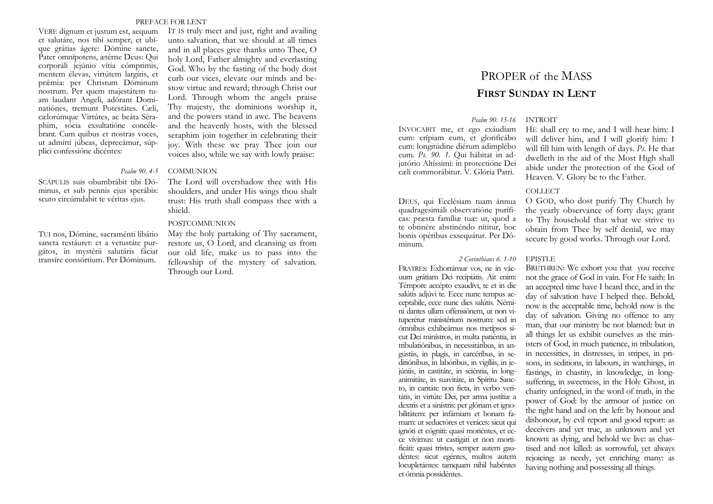#### PREFACE FOR LENT

VERE dignum et justum est, aequum et salutáre, nos tibi semper, et ubíque grátias ágere: Dómine sancte, Pater omnípotens, ætérne Deus: Qui corporáli jejúnio vítia cómprimis, mentem élevas, virtútem largíris, et pr ǽmia: per Christum Dóminum nostrum. Per quem majestátem tuam laudant Angeli, adórant Dominatiónes, tremunt Potestátes. Cæli, cælorúmque Virtútes, ac beáta Séraphim, sócia exsultatióne concélebrant. Cum quibus et nostras voces, ut admítti júbeas, deprecámur, súpplici confessióne dicéntes:

IT IS truly meet and just, right and availing unto salvation, that we should at all times and in all places give thanks unto Thee, O holy Lord, Father almighty and everlasting God. Who by the fasting of the body dost curb our vices, elevate our minds and bestow virtue and reward; through Christ our Lord. Through whom the angels praise Thy majesty, the dominions worship it, and the powers stand in awe. The heavens and the heavenly hosts, with the blessed seraphim join together in celebrating their joy. With these we pray Thee join our voices also, while we say with lowly praise:.

#### *Psalm 90. 4-5* COMMUNION

SCÁPULIS suis obumbrábit tibi Dóminus, et sub pennis ejus sperábis: scuto circúmdabit te véritas ejus.

TUI nos, Dómine, sacraménti libátio sancta restáuret: et a vetustáte purgátos, in mystérii salutáris fáciat transíre consórtium. Per Dóminum.

The Lord will overshadow thee with His shoulders, and under His wings thou shalt trust: His truth shall compass thee with a shield.

# POSTCOMMUNION

May the holy partaking of Thy sacrament, restore us, O Lord, and cleansing us from our old life, make us to pass into the fellowship of the mystery of salvation. Through our Lord.

# PROPER of the MASS **FIRST SUNDAY IN LENT**

# *Psalm 90. 15-16* INTROIT

INVOCABIT me, et ego exáudiam eum: erípiam eum, et glorificábo eum: longitúdine diérum adimplébo eum. *Ps. 90. 1.* Qui hábitat in adjutório Altíssimi: in protectióne Dei cæli commorábitur. V. Glória Patri.

DEUS, qui Ecclésiam tuam ánnua quadragesimáli observatióne puríficas: præsta famíliæ tuæ: ut, quod a te obtinére abstinéndo nítitur, hoc bonis opéribus exsequátur. Per Dóminum.

FRATRES: Exhortámur vos, ne in vácuum grátiam Dei recipiátis. Ait enim: Témpore accépto exaudívi, te et in die salútis adjúvi te. Ecce nunc tempus acceptabile, ecce nunc dies salútis. Némini dantes ullam offensiónem, ut non vituperétur ministérium nostrum: sed in ómnibus exhibeámus nos metípsos sicut Dei minístros, in multa patiéntia, in tribulatiónibus, in necessitátibus, in angústiis, in plagis, in carcéribus, in seditiónibus, in labóribus, in vigíliis, in jejúniis, in castitáte, in sciéntia, in longanimitáte, in suavitáte, in Spíritu Sancto, in caritáte non ficta, in verbo veritátis, in virtúte Dei, per arma justítiæ a dextris et a sinístris: per glóriam et ignobilitátem: per infámiam et bonam famam: ut seductóres et veráces: sicut qui ignóti et cógniti: quasi moriéntes, et ecce vívimus: ut castigáti et non mortificáti: quasi tristes, semper autem gaudéntes: sicut egéntes, multos autem *2 Corinthians 6. 1-10*

locupletántes: tamquam nihil habéntes

et ómnia possidéntes.

H E shall cry to me, and I will hear him: I will deliver him, and I will glorify him: I will fill him with length of days. *Ps.* He that dwelleth in the aid of the Most High shall abide under the protection of the God of Heaven. V. Glory be to the Father.

# **COLLECT**

O GOD, who dost purify Thy Church by the yearly observance of forty days; grant to Thy household that what we strive to obtain from Thee by self denial, we may secure by good works. Through our Lord.

### EPISTLE

BRETHREN: We exhort you that you receive not the grace of God in vain. For He saith: In an accepted time have I heard thee, and in the day of salvation have I helped thee. Behold, now is the acceptable time, behold now is the day of salvation. Giving no offence to any man, that our ministry be not blamed: but in all things let us exhibit ourselves as the ministers of God, in much patience, in tribulation, in necessities, in distresses, in stripes, in prisons, in seditions, in labours, in watchings, in fastings, in chastity, in knowledge, in longsuffering, in sweetness, in the Holy Ghost, in charity unfeigned, in the word of truth, in the power of God: by the armour of justice on the right hand and on the left: by honour and dishonour, by evil report and good report: as deceivers and yet true, as unknown and yet known: as dying, and behold we live: as chastised and not killed: as sorrowful, yet always rejoicing: as needy, yet enriching many: as having nothing and possessing all things.